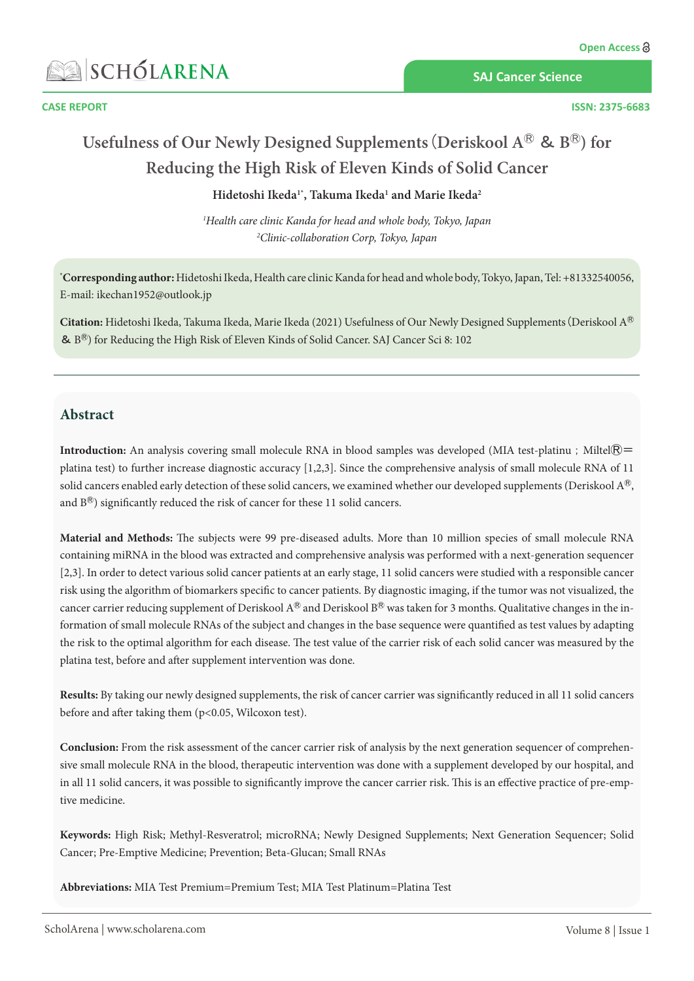

**SAJ Cancer Science**

#### **CASE REPORT ISSN: 2375-6683**

# **Usefulness of Our Newly Designed Supplements**(**Deriskool A**Ⓡ & **B**Ⓡ**) for Reducing the High Risk of Eleven Kinds of Solid Cancer**

### **Hidetoshi Ikeda1\*, Takuma Ikeda1 and Marie Ikeda2**

*1 Health care clinic Kanda for head and whole body, Tokyo, Japan 2 Clinic-collaboration Corp, Tokyo, Japan*

**\* Corresponding author:** Hidetoshi Ikeda, Health care clinic Kanda for head and whole body, Tokyo, Japan, Tel: +81332540056, E-mail: [ikechan1952@outlook.jp](mailto:ikechan1952@outlook.jp)

**Citation:** Hidetoshi Ikeda, Takuma Ikeda, Marie Ikeda (2021) Usefulness of Our Newly Designed Supplements(Deriskool AⓇ &  $B^{\textcircled{R}}$ ) for Reducing the High Risk of Eleven Kinds of Solid Cancer. SAJ Cancer Sci 8: 102

## **Abstract**

**Introduction:** An analysis covering small molecule RNA in blood samples was developed (MIA test-platinu; Miltel®= platina test) to further increase diagnostic accuracy [1,2,3]. Since the comprehensive analysis of small molecule RNA of 11 solid cancers enabled early detection of these solid cancers, we examined whether our developed supplements (Deriskool A<sup>®</sup>, and  $B^®$ ) significantly reduced the risk of cancer for these 11 solid cancers.

**Material and Methods:** The subjects were 99 pre-diseased adults. More than 10 million species of small molecule RNA containing miRNA in the blood was extracted and comprehensive analysis was performed with a next-generation sequencer [2,3]. In order to detect various solid cancer patients at an early stage, 11 solid cancers were studied with a responsible cancer risk using the algorithm of biomarkers specific to cancer patients. By diagnostic imaging, if the tumor was not visualized, the cancer carrier reducing supplement of Deriskool  $A^®$  and Deriskool  $B^®$  was taken for 3 months. Qualitative changes in the information of small molecule RNAs of the subject and changes in the base sequence were quantified as test values by adapting the risk to the optimal algorithm for each disease. The test value of the carrier risk of each solid cancer was measured by the platina test, before and after supplement intervention was done.

**Results:** By taking our newly designed supplements, the risk of cancer carrier was significantly reduced in all 11 solid cancers before and after taking them (p<0.05, Wilcoxon test).

**Conclusion:** From the risk assessment of the cancer carrier risk of analysis by the next generation sequencer of comprehensive small molecule RNA in the blood, therapeutic intervention was done with a supplement developed by our hospital, and in all 11 solid cancers, it was possible to significantly improve the cancer carrier risk. This is an effective practice of pre-emptive medicine.

**Keywords:** High Risk; Methyl-Resveratrol; microRNA; Newly Designed Supplements; Next Generation Sequencer; Solid Cancer; Pre-Emptive Medicine; Prevention; Beta-Glucan; Small RNAs

**Abbreviations:** MIA Test Premium=Premium Test; MIA Test Platinum=Platina Test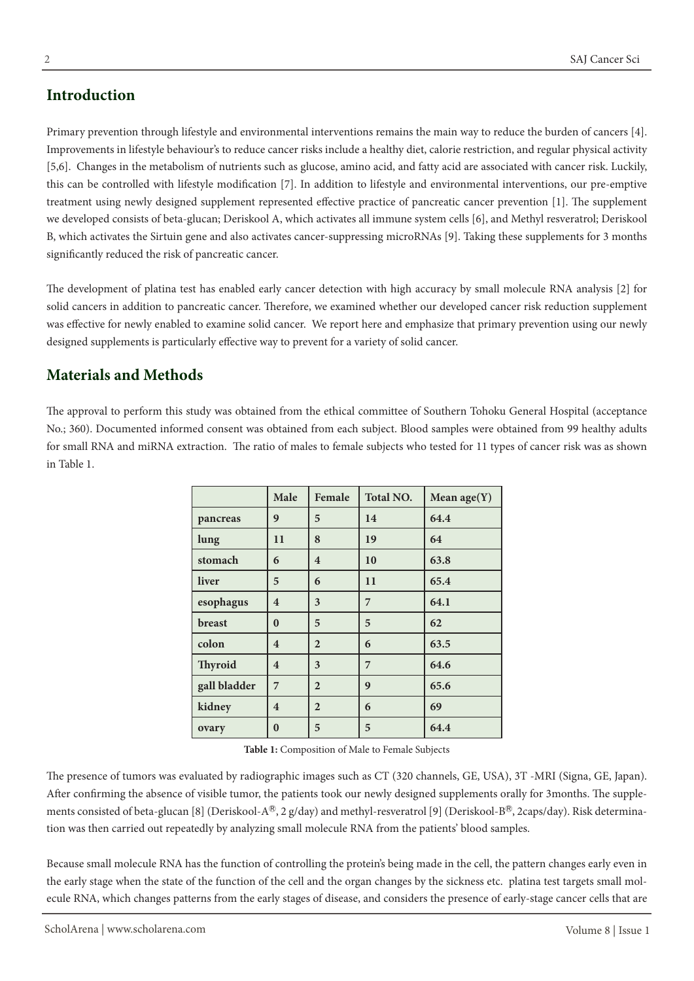# **Introduction**

Primary prevention through lifestyle and environmental interventions remains the main way to reduce the burden of cancers [4]. Improvements in lifestyle behaviour's to reduce cancer risks include a healthy diet, calorie restriction, and regular physical activity [5,6]. Changes in the metabolism of nutrients such as glucose, amino acid, and fatty acid are associated with cancer risk. Luckily, this can be controlled with lifestyle modification [7]. In addition to lifestyle and environmental interventions, our pre-emptive treatment using newly designed supplement represented effective practice of pancreatic cancer prevention [1]. The supplement we developed consists of beta-glucan; Deriskool A, which activates all immune system cells [6], and Methyl resveratrol; Deriskool B, which activates the Sirtuin gene and also activates cancer-suppressing microRNAs [9]. Taking these supplements for 3 months significantly reduced the risk of pancreatic cancer.

The development of platina test has enabled early cancer detection with high accuracy by small molecule RNA analysis [2] for solid cancers in addition to pancreatic cancer. Therefore, we examined whether our developed cancer risk reduction supplement was effective for newly enabled to examine solid cancer. We report here and emphasize that primary prevention using our newly designed supplements is particularly effective way to prevent for a variety of solid cancer.

# **Materials and Methods**

The approval to perform this study was obtained from the ethical committee of Southern Tohoku General Hospital (acceptance No.; 360). Documented informed consent was obtained from each subject. Blood samples were obtained from 99 healthy adults for small RNA and miRNA extraction. The ratio of males to female subjects who tested for 11 types of cancer risk was as shown in Table 1.

|                | Male                    | Female                  | <b>Total NO.</b> | Mean $age(Y)$ |
|----------------|-------------------------|-------------------------|------------------|---------------|
| pancreas       | 9                       | 5                       | 14               | 64.4          |
| lung           | 11                      | 8                       | 19               | 64            |
| stomach        | 6                       | $\overline{\mathbf{4}}$ | 10               | 63.8          |
| liver          | 5                       | 6                       | 11               | 65.4          |
| esophagus      | $\overline{\mathbf{4}}$ | 3                       | 7                | 64.1          |
| breast         | $\bf{0}$                | 5                       | 5                | 62            |
| colon          | $\overline{4}$          | $\overline{2}$          | 6                | 63.5          |
| <b>Thyroid</b> | $\overline{\mathbf{4}}$ | 3                       | $\overline{7}$   | 64.6          |
| gall bladder   | 7                       | $\overline{2}$          | 9                | 65.6          |
| kidney         | $\overline{\mathbf{4}}$ | $\overline{2}$          | 6                | 69            |
| ovary          | $\bf{0}$                | 5                       | 5                | 64.4          |

**Table 1:** Composition of Male to Female Subjects

The presence of tumors was evaluated by radiographic images such as CT (320 channels, GE, USA), 3T -MRI (Signa, GE, Japan). After confirming the absence of visible tumor, the patients took our newly designed supplements orally for 3months. The supplements consisted of beta-glucan [8] (Deriskool-A®, 2 g/day) and methyl-resveratrol [9] (Deriskool-B®, 2caps/day). Risk determination was then carried out repeatedly by analyzing small molecule RNA from the patients' blood samples.

Because small molecule RNA has the function of controlling the protein's being made in the cell, the pattern changes early even in the early stage when the state of the function of the cell and the organ changes by the sickness etc. platina test targets small molecule RNA, which changes patterns from the early stages of disease, and considers the presence of early-stage cancer cells that are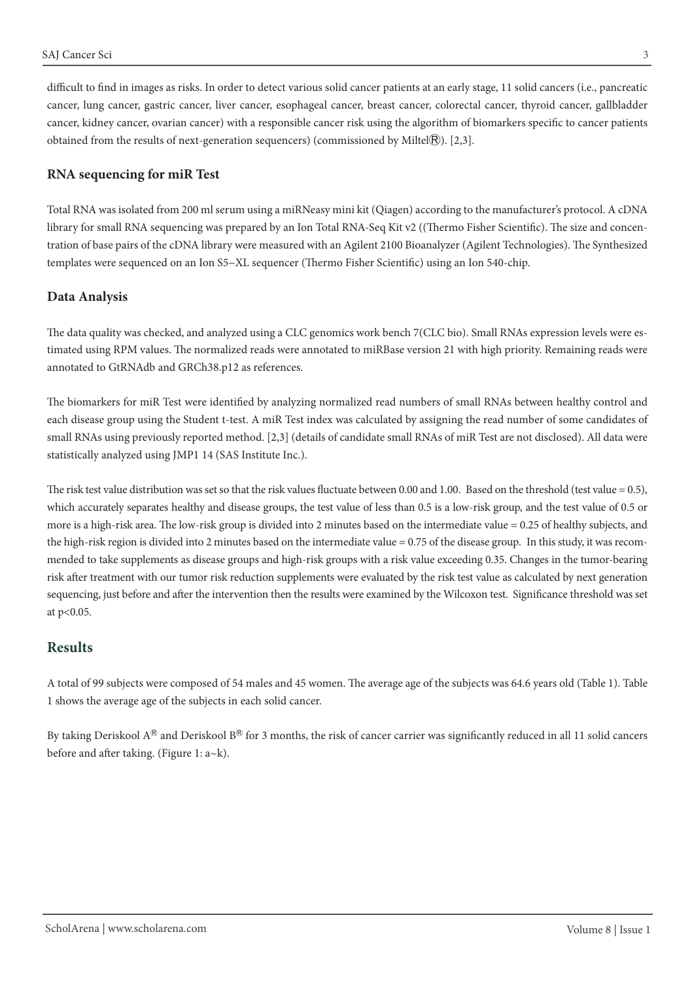difficult to find in images as risks. In order to detect various solid cancer patients at an early stage, 11 solid cancers (i.e., pancreatic cancer, lung cancer, gastric cancer, liver cancer, esophageal cancer, breast cancer, colorectal cancer, thyroid cancer, gallbladder cancer, kidney cancer, ovarian cancer) with a responsible cancer risk using the algorithm of biomarkers specific to cancer patients obtained from the results of next-generation sequencers) (commissioned by Miltel $\mathbb R$ ). [2,3].

#### **RNA sequencing for miR Test**

Total RNA was isolated from 200 ml serum using a miRNeasy mini kit (Qiagen) according to the manufacturer's protocol. A cDNA library for small RNA sequencing was prepared by an Ion Total RNA-Seq Kit v2 ((Thermo Fisher Scientific). The size and concentration of base pairs of the cDNA library were measured with an Agilent 2100 Bioanalyzer (Agilent Technologies). The Synthesized templates were sequenced on an Ion S5−XL sequencer (Thermo Fisher Scientific) using an Ion 540-chip.

#### **Data Analysis**

The data quality was checked, and analyzed using a CLC genomics work bench 7(CLC bio). Small RNAs expression levels were estimated using RPM values. The normalized reads were annotated to miRBase version 21 with high priority. Remaining reads were annotated to GtRNAdb and GRCh38.p12 as references.

The biomarkers for miR Test were identified by analyzing normalized read numbers of small RNAs between healthy control and each disease group using the Student t-test. A miR Test index was calculated by assigning the read number of some candidates of small RNAs using previously reported method. [2,3] (details of candidate small RNAs of miR Test are not disclosed). All data were statistically analyzed using JMP1 14 (SAS Institute Inc.).

The risk test value distribution was set so that the risk values fluctuate between 0.00 and 1.00. Based on the threshold (test value = 0.5), which accurately separates healthy and disease groups, the test value of less than 0.5 is a low-risk group, and the test value of 0.5 or more is a high-risk area. The low-risk group is divided into 2 minutes based on the intermediate value = 0.25 of healthy subjects, and the high-risk region is divided into 2 minutes based on the intermediate value = 0.75 of the disease group. In this study, it was recommended to take supplements as disease groups and high-risk groups with a risk value exceeding 0.35. Changes in the tumor-bearing risk after treatment with our tumor risk reduction supplements were evaluated by the risk test value as calculated by next generation sequencing, just before and after the intervention then the results were examined by the Wilcoxon test. Significance threshold was set at p<0.05.

### **Results**

A total of 99 subjects were composed of 54 males and 45 women. The average age of the subjects was 64.6 years old (Table 1). Table 1 shows the average age of the subjects in each solid cancer.

By taking Deriskool  $A^\textcircled R$  and Deriskool  $B^\textcircled R$  for 3 months, the risk of cancer carrier was significantly reduced in all 11 solid cancers before and after taking. (Figure 1: a~k).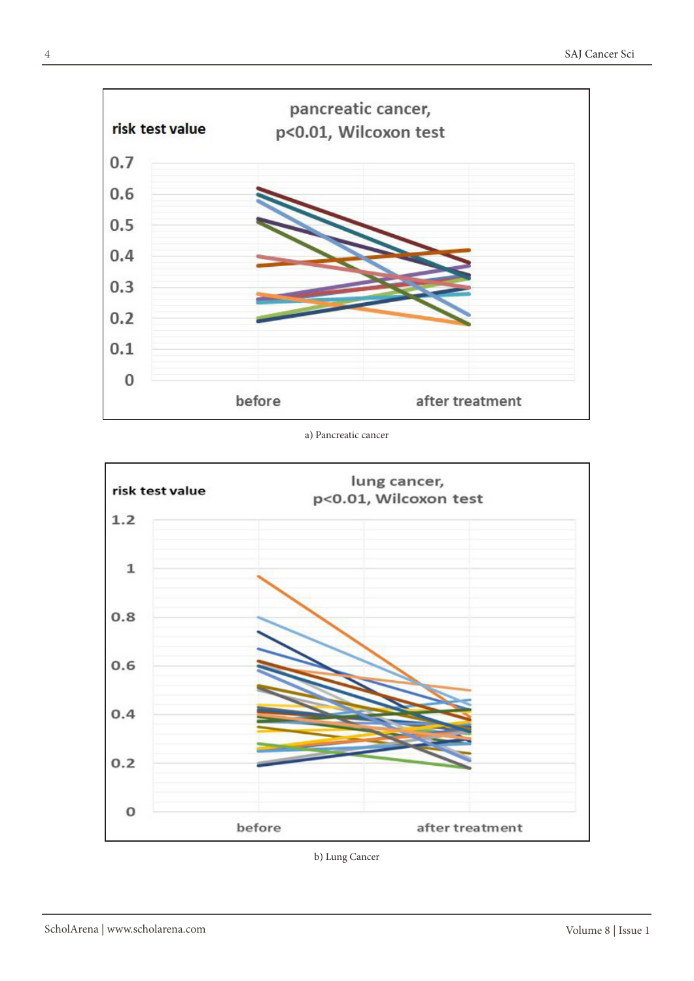

a) Pancreatic cancer



b) Lung Cancer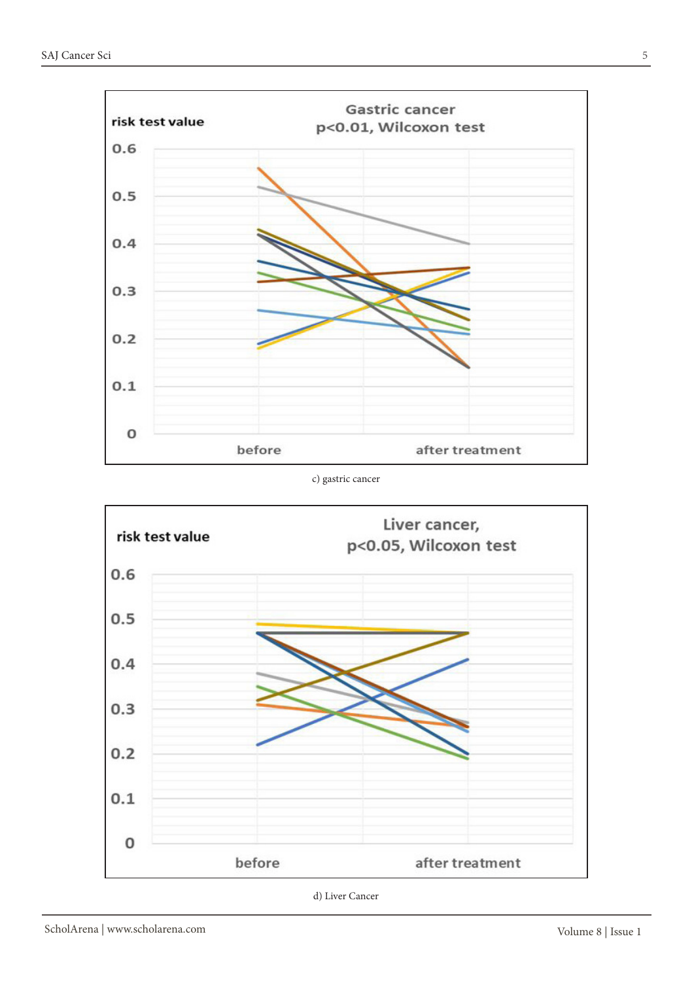

#### c) gastric cancer



d) Liver Cancer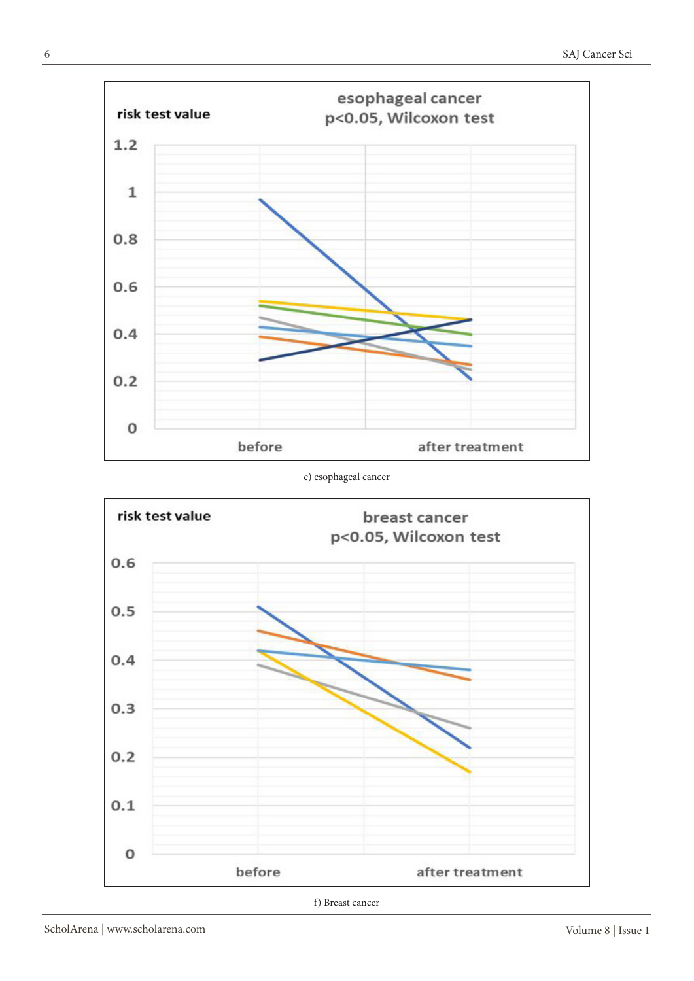

#### e) esophageal cancer



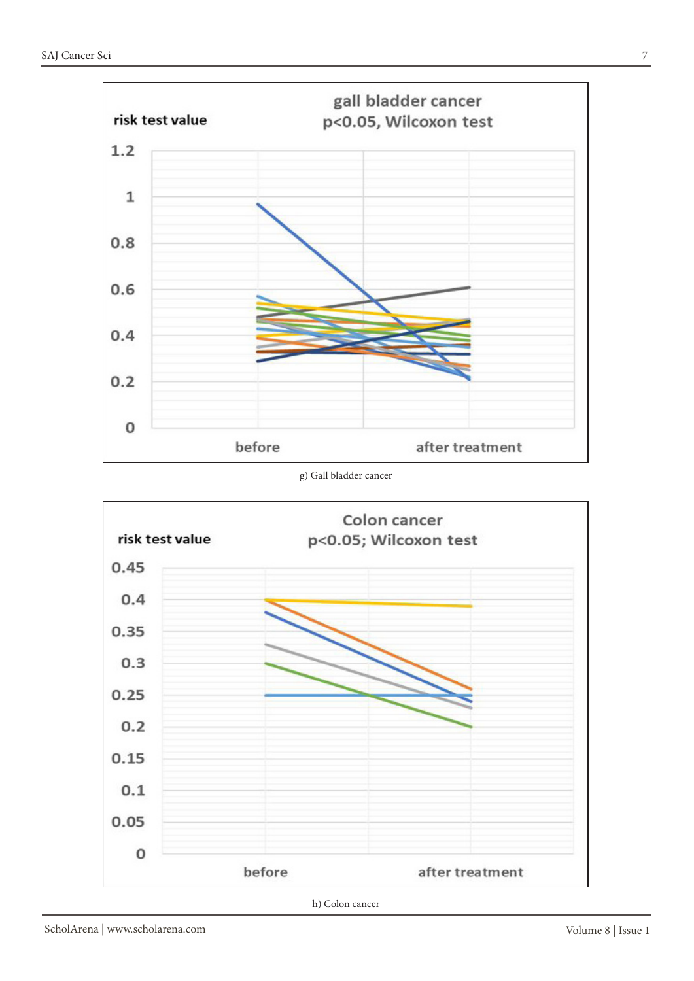

#### g) Gall bladder cancer



h) Colon cancer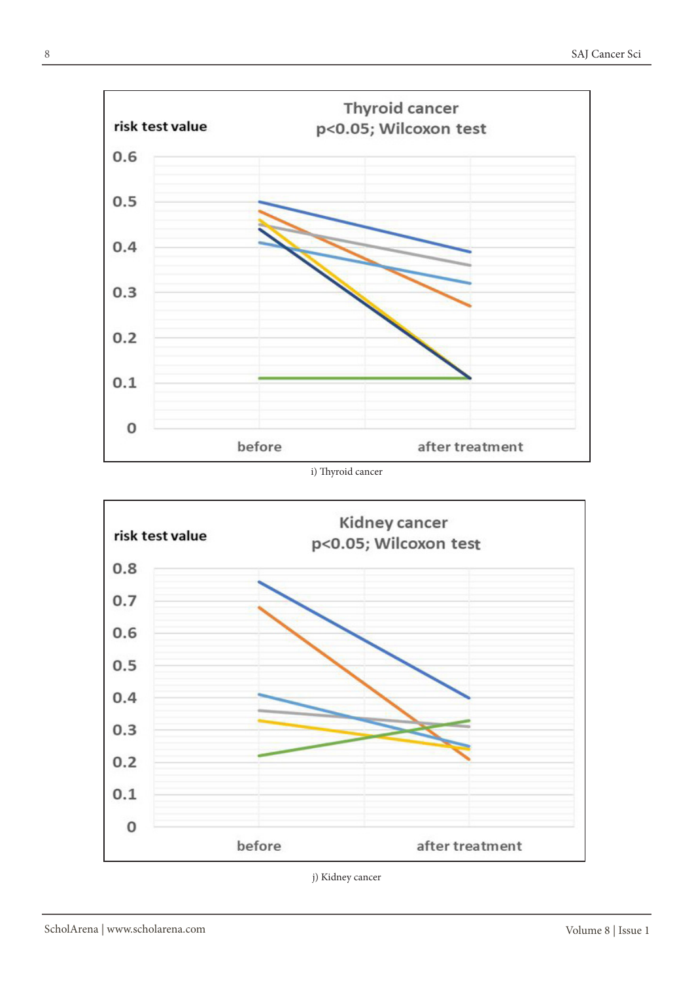

i) Thyroid cancer



j) Kidney cancer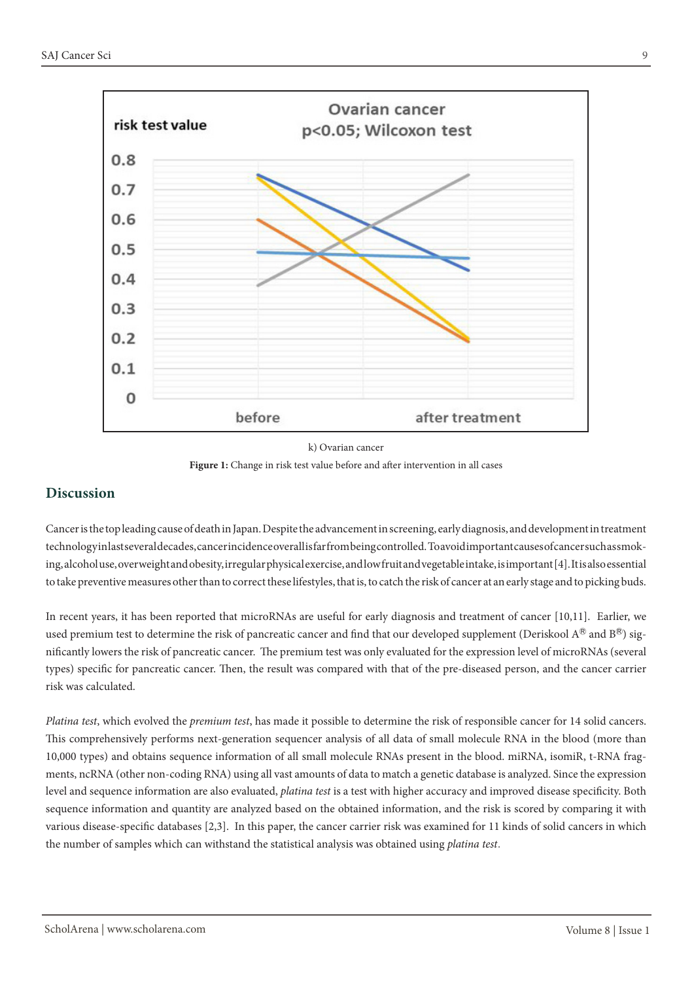

k) Ovarian cancer

**Figure 1:** Change in risk test value before and after intervention in all cases

### **Discussion**

Cancer is the top leading cause of death in Japan. Despite the advancement in screening, early diagnosis, and development in treatment technology in last several decades, cancer incidence overall is far from being controlled. To avoid important causes of cancer such as smoking, alcohol use, overweight and obesity, irregular physical exercise, and low fruit and vegetable intake, is important [4]. It is also essential to take preventive measures other than to correct these lifestyles, that is, to catch the risk of cancer at an early stage and to picking buds.

In recent years, it has been reported that microRNAs are useful for early diagnosis and treatment of cancer [10,11]. Earlier, we used premium test to determine the risk of pancreatic cancer and find that our developed supplement (Deriskool  $A^\circledR$  and  $B^\circledR$ ) significantly lowers the risk of pancreatic cancer. The premium test was only evaluated for the expression level of microRNAs (several types) specific for pancreatic cancer. Then, the result was compared with that of the pre-diseased person, and the cancer carrier risk was calculated.

*Platina test*, which evolved the *premium test*, has made it possible to determine the risk of responsible cancer for 14 solid cancers. This comprehensively performs next-generation sequencer analysis of all data of small molecule RNA in the blood (more than 10,000 types) and obtains sequence information of all small molecule RNAs present in the blood. miRNA, isomiR, t-RNA fragments, ncRNA (other non-coding RNA) using all vast amounts of data to match a genetic database is analyzed. Since the expression level and sequence information are also evaluated, *platina test* is a test with higher accuracy and improved disease specificity. Both sequence information and quantity are analyzed based on the obtained information, and the risk is scored by comparing it with various disease-specific databases [2,3]. In this paper, the cancer carrier risk was examined for 11 kinds of solid cancers in which the number of samples which can withstand the statistical analysis was obtained using *platina test*.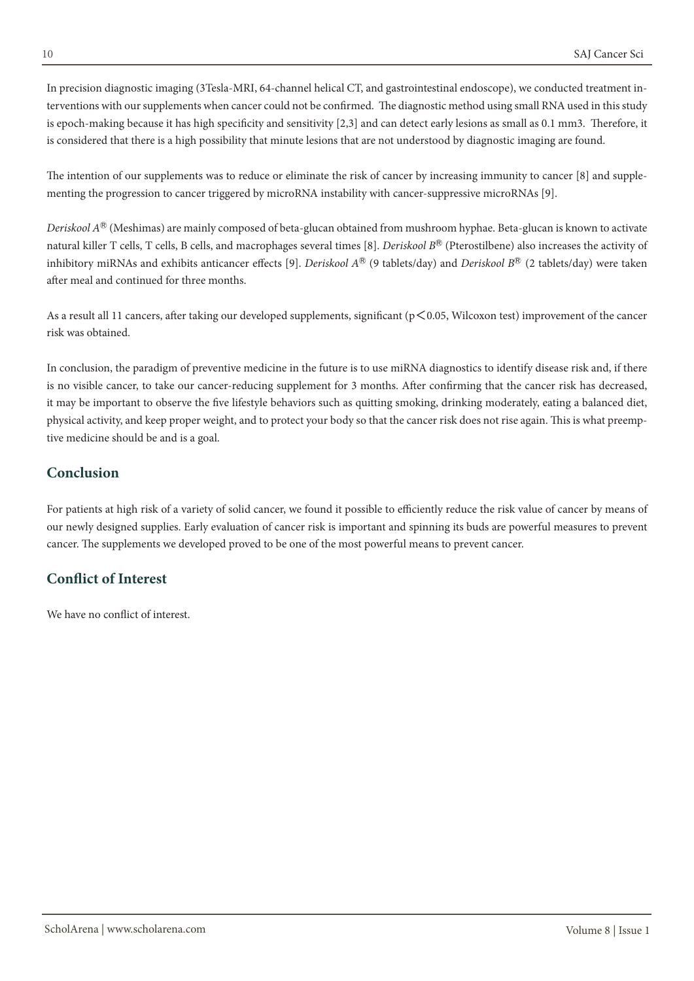In precision diagnostic imaging (3Tesla-MRI, 64-channel helical CT, and gastrointestinal endoscope), we conducted treatment interventions with our supplements when cancer could not be confirmed. The diagnostic method using small RNA used in this study is epoch-making because it has high specificity and sensitivity [2,3] and can detect early lesions as small as 0.1 mm3. Therefore, it is considered that there is a high possibility that minute lesions that are not understood by diagnostic imaging are found.

The intention of our supplements was to reduce or eliminate the risk of cancer by increasing immunity to cancer [8] and supplementing the progression to cancer triggered by microRNA instability with cancer-suppressive microRNAs [9].

*Deriskool A*Ⓡ (Meshimas) are mainly composed of beta-glucan obtained from mushroom hyphae. Beta-glucan is known to activate natural killer T cells, T cells, B cells, and macrophages several times [8]. *Deriskool* B<sup>®</sup> (Pterostilbene) also increases the activity of inhibitory miRNAs and exhibits anticancer effects [9]. *Deriskool A®* (9 tablets/day) and *Deriskool B®* (2 tablets/day) were taken after meal and continued for three months.

As a result all 11 cancers, after taking our developed supplements, significant ( $p \le 0.05$ , Wilcoxon test) improvement of the cancer risk was obtained.

In conclusion, the paradigm of preventive medicine in the future is to use miRNA diagnostics to identify disease risk and, if there is no visible cancer, to take our cancer-reducing supplement for 3 months. After confirming that the cancer risk has decreased, it may be important to observe the five lifestyle behaviors such as quitting smoking, drinking moderately, eating a balanced diet, physical activity, and keep proper weight, and to protect your body so that the cancer risk does not rise again. This is what preemptive medicine should be and is a goal.

# **Conclusion**

For patients at high risk of a variety of solid cancer, we found it possible to efficiently reduce the risk value of cancer by means of our newly designed supplies. Early evaluation of cancer risk is important and spinning its buds are powerful measures to prevent cancer. The supplements we developed proved to be one of the most powerful means to prevent cancer.

# **Conflict of Interest**

We have no conflict of interest.